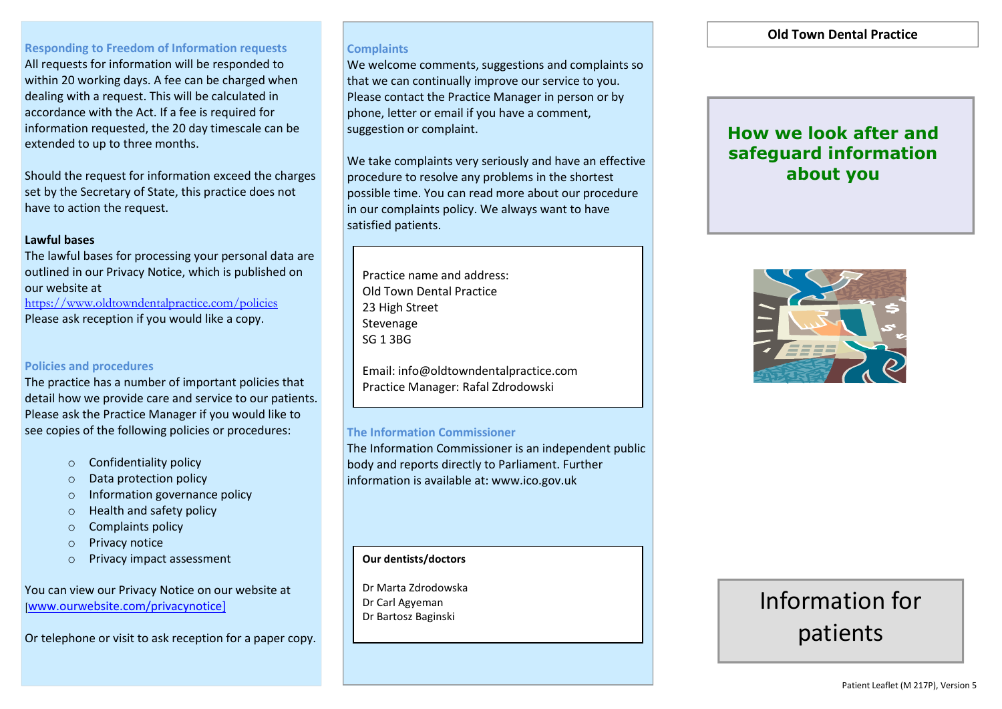# **Responding to Freedom of Information requests**

All requests for information will be responded to within 20 working days. A fee can be charged when dealing with a request. This will be calculated in accordance with the Act. If a fee is required for information requested, the 20 day timescale can be extended to up to three months.

Should the request for information exceed the charges set by the Secretary of State, this practice does not have to action the request.

### **Lawful bases**

The lawful bases for processing your personal data are outlined in our Privacy Notice, which is published on our website at <https://www.oldtowndentalpractice.com/policies>

Please ask reception if you would like a copy.

# **Policies and procedures**

The practice has a number of important policies that detail how we provide care and service to our patients. Please ask the Practice Manager if you would like to see copies of the following policies or procedures:

- o Confidentiality policy
- o Data protection policy
- o Information governance policy
- o Health and safety policy
- o Complaints policy
- o Privacy notice
- o Privacy impact assessment

You can view our Privacy Notice on our website at [[www.ourwebsite.com/privacynotice\]](http://www.ourwebsite.com/privacynotice)

Or telephone or visit to ask reception for a paper copy.

### **Complaints**

We welcome comments, suggestions and complaints so that we can continually improve our service to you. Please contact the Practice Manager in person or by phone, letter or email if you have a comment, suggestion or complaint.

We take complaints very seriously and have an effective procedure to resolve any problems in the shortest possible time. You can read more about our procedure in our complaints policy. We always want to have satisfied patients.

Practice name and address: Old Town Dental Practice 23 High Street Stevenage SG 1 3BG

Email: info@oldtowndentalpractice.com Practice Manager: Rafal Zdrodowski

### **The Information Commissioner**

The Information Commissioner is an independent public body and reports directly to Parliament. Further information is available at: www.ico.gov.uk

### **Our dentists/doctors**

Dr Marta Zdrodowska Dr Carl Agyeman Dr Bartosz Baginski

# **Old Town Dental Practice**

# **How we look after and safeguard information about you**



# Information for patients